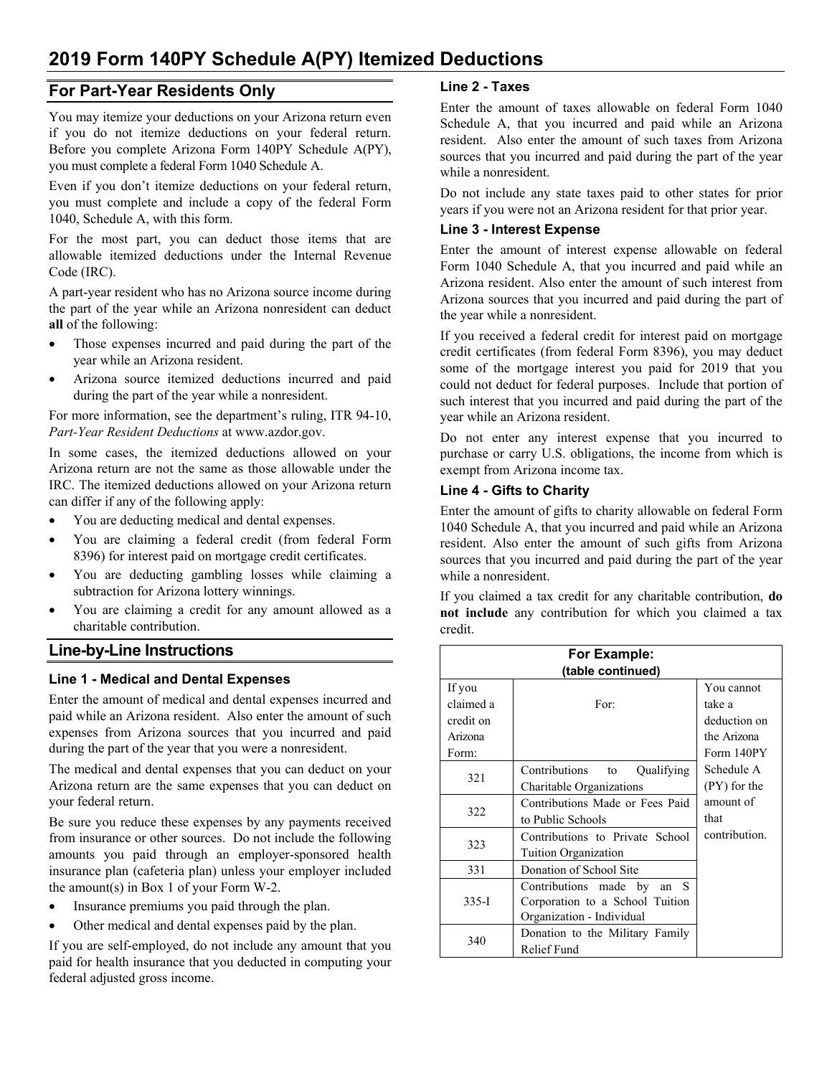# **2019 Form 140PY Schedule A(PY) Itemized Deductions**

## **For Part-Year Residents Only**

You may itemize your deductions on your Arizona return even if you do not itemize deductions on your federal return. Before you complete Arizona Form 140PY Schedule A(PY), you must complete a federal Form 1040 Schedule A.

Even if you don't itemize deductions on your federal return, you must complete and include a copy of the federal Form 1040, Schedule A, with this form.

For the most part, you can deduct those items that are allowable itemized deductions under the Internal Revenue Code (IRC).

A part-year resident who has no Arizona source income during the part of the year while an Arizona nonresident can deduct **all** of the following:

- Those expenses incurred and paid during the part of the year while an Arizona resident.
- Arizona source itemized deductions incurred and paid during the part of the year while a nonresident.

For more information, see the department's ruling, ITR 94-10, *Part-Year Resident Deductions* at www.azdor.gov.

In some cases, the itemized deductions allowed on your Arizona return are not the same as those allowable under the IRC. The itemized deductions allowed on your Arizona return can differ if any of the following apply:

- You are deducting medical and dental expenses.
- You are claiming a federal credit (from federal Form 8396) for interest paid on mortgage credit certificates.
- You are deducting gambling losses while claiming a subtraction for Arizona lottery winnings.
- You are claiming a credit for any amount allowed as a charitable contribution.

# **Line-by-Line Instructions**

#### **Line 1 - Medical and Dental Expenses**

Enter the amount of medical and dental expenses incurred and paid while an Arizona resident. Also enter the amount of such expenses from Arizona sources that you incurred and paid during the part of the year that you were a nonresident.

The medical and dental expenses that you can deduct on your Arizona return are the same expenses that you can deduct on your federal return.

Be sure you reduce these expenses by any payments received from insurance or other sources. Do not include the following amounts you paid through an employer-sponsored health insurance plan (cafeteria plan) unless your employer included the amount(s) in Box 1 of your Form W-2.

- Insurance premiums you paid through the plan.
- Other medical and dental expenses paid by the plan.

If you are self-employed, do not include any amount that you paid for health insurance that you deducted in computing your federal adjusted gross income.

## **Line 2 - Taxes**

Enter the amount of taxes allowable on federal Form 1040 Schedule A, that you incurred and paid while an Arizona resident. Also enter the amount of such taxes from Arizona sources that you incurred and paid during the part of the year while a nonresident.

Do not include any state taxes paid to other states for prior years if you were not an Arizona resident for that prior year.

## **Line 3 - Interest Expense**

Enter the amount of interest expense allowable on federal Form 1040 Schedule A, that you incurred and paid while an Arizona resident. Also enter the amount of such interest from Arizona sources that you incurred and paid during the part of the year while a nonresident.

If you received a federal credit for interest paid on mortgage credit certificates (from federal Form 8396), you may deduct some of the mortgage interest you paid for 2019 that you could not deduct for federal purposes. Include that portion of such interest that you incurred and paid during the part of the year while an Arizona resident.

Do not enter any interest expense that you incurred to purchase or carry U.S. obligations, the income from which is exempt from Arizona income tax.

## **Line 4 - Gifts to Charity**

Enter the amount of gifts to charity allowable on federal Form 1040 Schedule A, that you incurred and paid while an Arizona resident. Also enter the amount of such gifts from Arizona sources that you incurred and paid during the part of the year while a nonresident.

If you claimed a tax credit for any charitable contribution, **do not include** any contribution for which you claimed a tax credit.

| For Example:<br>(table continued) |                                 |               |  |
|-----------------------------------|---------------------------------|---------------|--|
|                                   |                                 |               |  |
| claimed a                         | For:                            | take a        |  |
| credit on                         |                                 | deduction on  |  |
| Arizona                           |                                 | the Arizona   |  |
| Form:                             |                                 | Form 140PY    |  |
| 321                               | Contributions to<br>Qualifying  | Schedule A    |  |
|                                   | Charitable Organizations        | (PY) for the  |  |
| 322                               | Contributions Made or Fees Paid | amount of     |  |
|                                   | to Public Schools               | that          |  |
| 323                               | Contributions to Private School | contribution. |  |
|                                   | <b>Tuition Organization</b>     |               |  |
| 331                               | Donation of School Site         |               |  |
| $335 - I$                         | Contributions made by<br>an S   |               |  |
|                                   | Corporation to a School Tuition |               |  |
|                                   | Organization - Individual       |               |  |
| 340                               | Donation to the Military Family |               |  |
|                                   | Relief Fund                     |               |  |